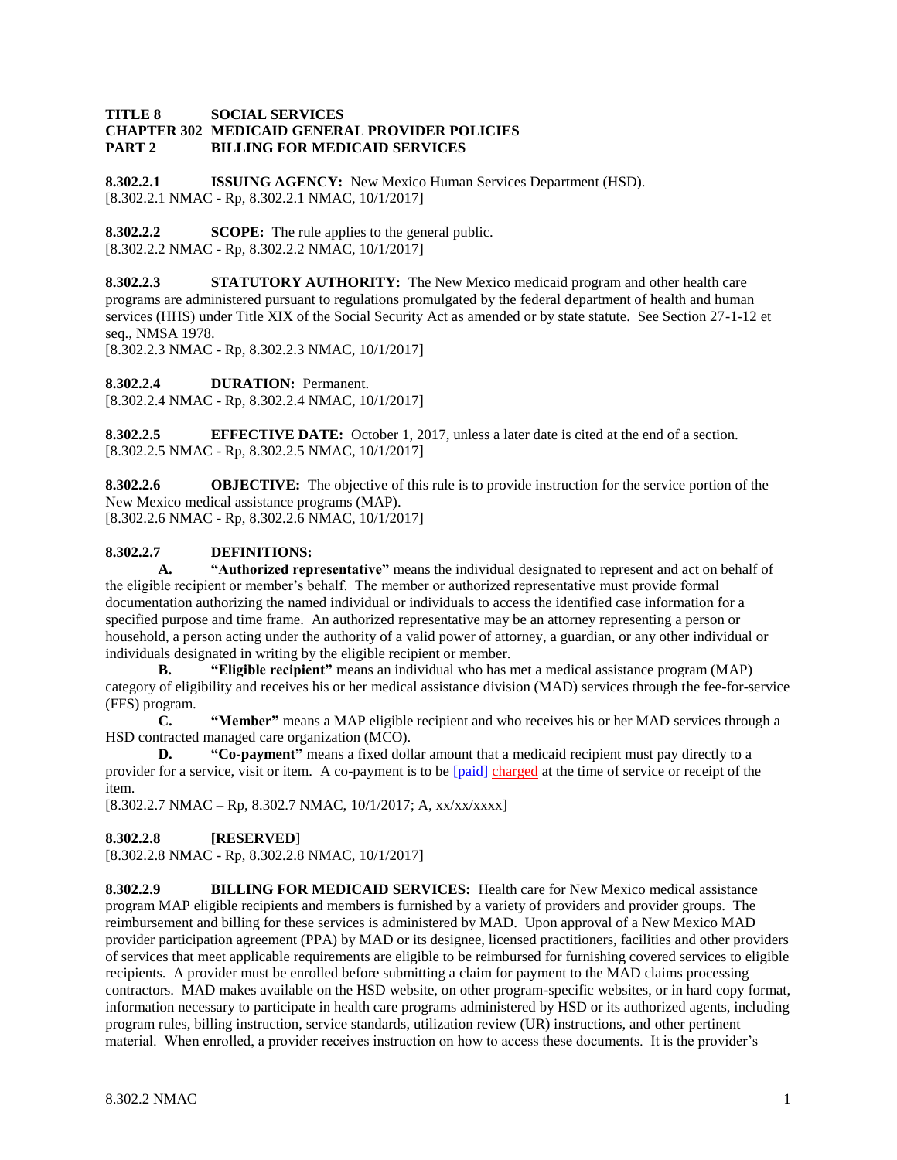### **TITLE 8 SOCIAL SERVICES CHAPTER 302 MEDICAID GENERAL PROVIDER POLICIES PART 2 BILLING FOR MEDICAID SERVICES**

**8.302.2.1 ISSUING AGENCY:** New Mexico Human Services Department (HSD). [8.302.2.1 NMAC - Rp, 8.302.2.1 NMAC, 10/1/2017]

**8.302.2.2 SCOPE:** The rule applies to the general public. [8.302.2.2 NMAC - Rp, 8.302.2.2 NMAC, 10/1/2017]

**8.302.2.3 STATUTORY AUTHORITY:** The New Mexico medicaid program and other health care programs are administered pursuant to regulations promulgated by the federal department of health and human services (HHS) under Title XIX of the Social Security Act as amended or by state statute. See Section 27-1-12 et seq., NMSA 1978.

[8.302.2.3 NMAC - Rp, 8.302.2.3 NMAC, 10/1/2017]

**8.302.2.4 DURATION:** Permanent.

[8.302.2.4 NMAC - Rp, 8.302.2.4 NMAC, 10/1/2017]

**8.302.2.5 EFFECTIVE DATE:** October 1, 2017, unless a later date is cited at the end of a section. [8.302.2.5 NMAC - Rp, 8.302.2.5 NMAC, 10/1/2017]

**8.302.2.6 OBJECTIVE:** The objective of this rule is to provide instruction for the service portion of the New Mexico medical assistance programs (MAP). [8.302.2.6 NMAC - Rp, 8.302.2.6 NMAC, 10/1/2017]

# **8.302.2.7 DEFINITIONS:**

**A. "Authorized representative"** means the individual designated to represent and act on behalf of the eligible recipient or member's behalf. The member or authorized representative must provide formal documentation authorizing the named individual or individuals to access the identified case information for a specified purpose and time frame. An authorized representative may be an attorney representing a person or household, a person acting under the authority of a valid power of attorney, a guardian, or any other individual or individuals designated in writing by the eligible recipient or member.

**B. "Eligible recipient"** means an individual who has met a medical assistance program (MAP) category of eligibility and receives his or her medical assistance division (MAD) services through the fee-for-service (FFS) program.

**C. "Member"** means a MAP eligible recipient and who receives his or her MAD services through a HSD contracted managed care organization (MCO).

**D. "Co-payment"** means a fixed dollar amount that a medicaid recipient must pay directly to a provider for a service, visit or item. A co-payment is to be [paid] charged at the time of service or receipt of the item.

[8.302.2.7 NMAC – Rp, 8.302.7 NMAC, 10/1/2017; A, xx/xx/xxxx]

## **8.302.2.8 [RESERVED**]

[8.302.2.8 NMAC - Rp, 8.302.2.8 NMAC, 10/1/2017]

**8.302.2.9 BILLING FOR MEDICAID SERVICES:** Health care for New Mexico medical assistance program MAP eligible recipients and members is furnished by a variety of providers and provider groups. The reimbursement and billing for these services is administered by MAD. Upon approval of a New Mexico MAD provider participation agreement (PPA) by MAD or its designee, licensed practitioners, facilities and other providers of services that meet applicable requirements are eligible to be reimbursed for furnishing covered services to eligible recipients. A provider must be enrolled before submitting a claim for payment to the MAD claims processing contractors. MAD makes available on the HSD website, on other program-specific websites, or in hard copy format, information necessary to participate in health care programs administered by HSD or its authorized agents, including program rules, billing instruction, service standards, utilization review (UR) instructions, and other pertinent material. When enrolled, a provider receives instruction on how to access these documents. It is the provider's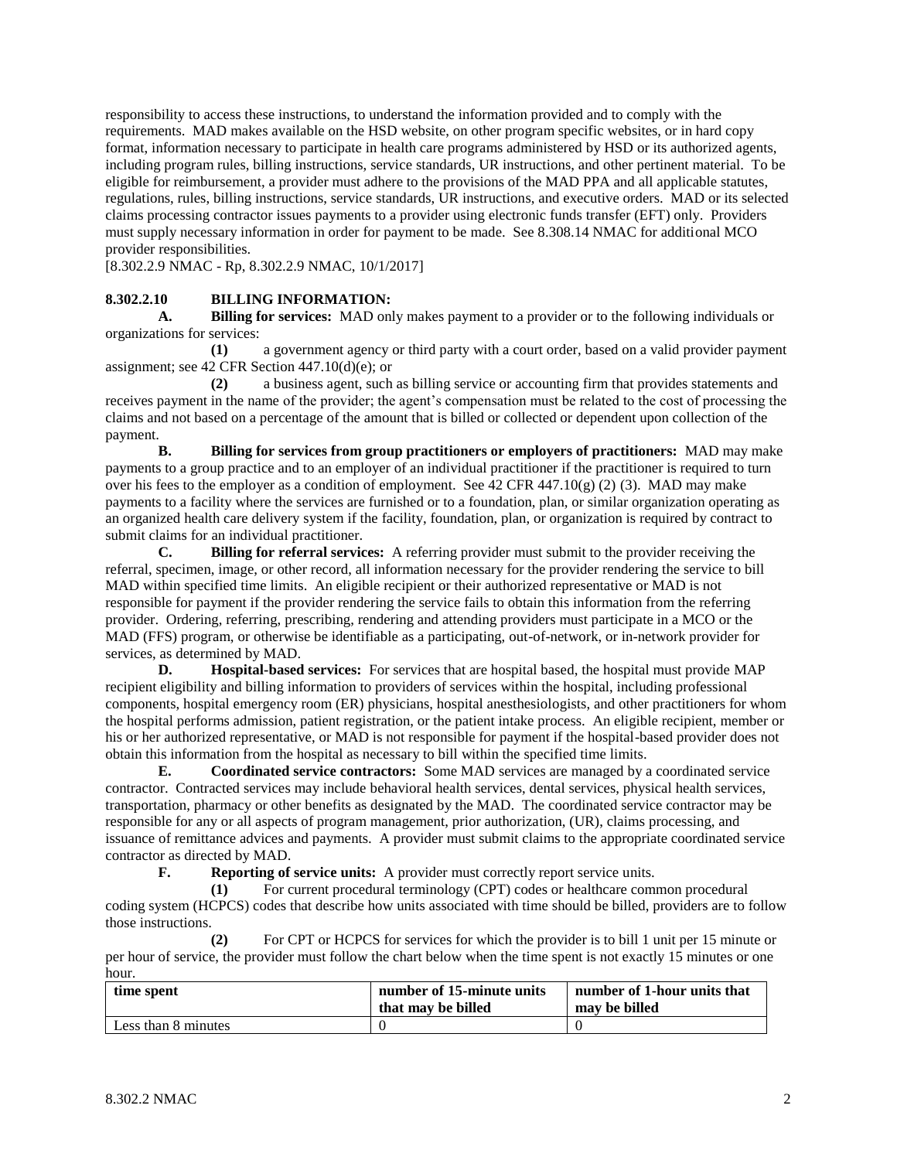responsibility to access these instructions, to understand the information provided and to comply with the requirements. MAD makes available on the HSD website, on other program specific websites, or in hard copy format, information necessary to participate in health care programs administered by HSD or its authorized agents, including program rules, billing instructions, service standards, UR instructions, and other pertinent material. To be eligible for reimbursement, a provider must adhere to the provisions of the MAD PPA and all applicable statutes, regulations, rules, billing instructions, service standards, UR instructions, and executive orders. MAD or its selected claims processing contractor issues payments to a provider using electronic funds transfer (EFT) only. Providers must supply necessary information in order for payment to be made. See 8.308.14 NMAC for additional MCO provider responsibilities.

[8.302.2.9 NMAC - Rp, 8.302.2.9 NMAC, 10/1/2017]

### **8.302.2.10 BILLING INFORMATION:**

**A. Billing for services:** MAD only makes payment to a provider or to the following individuals or organizations for services:

**(1)** a government agency or third party with a court order, based on a valid provider payment assignment; see 42 CFR Section 447.10(d)(e); or

**(2)** a business agent, such as billing service or accounting firm that provides statements and receives payment in the name of the provider; the agent's compensation must be related to the cost of processing the claims and not based on a percentage of the amount that is billed or collected or dependent upon collection of the payment.

**B. Billing for services from group practitioners or employers of practitioners:** MAD may make payments to a group practice and to an employer of an individual practitioner if the practitioner is required to turn over his fees to the employer as a condition of employment. See 42 CFR 447.10(g) (2) (3). MAD may make payments to a facility where the services are furnished or to a foundation, plan, or similar organization operating as an organized health care delivery system if the facility, foundation, plan, or organization is required by contract to submit claims for an individual practitioner.

**C. Billing for referral services:** A referring provider must submit to the provider receiving the referral, specimen, image, or other record, all information necessary for the provider rendering the service to bill MAD within specified time limits. An eligible recipient or their authorized representative or MAD is not responsible for payment if the provider rendering the service fails to obtain this information from the referring provider. Ordering, referring, prescribing, rendering and attending providers must participate in a MCO or the MAD (FFS) program, or otherwise be identifiable as a participating, out-of-network, or in-network provider for services, as determined by MAD.

**D. Hospital-based services:** For services that are hospital based, the hospital must provide MAP recipient eligibility and billing information to providers of services within the hospital, including professional components, hospital emergency room (ER) physicians, hospital anesthesiologists, and other practitioners for whom the hospital performs admission, patient registration, or the patient intake process. An eligible recipient, member or his or her authorized representative, or MAD is not responsible for payment if the hospital-based provider does not obtain this information from the hospital as necessary to bill within the specified time limits.

**E. Coordinated service contractors:** Some MAD services are managed by a coordinated service contractor. Contracted services may include behavioral health services, dental services, physical health services, transportation, pharmacy or other benefits as designated by the MAD. The coordinated service contractor may be responsible for any or all aspects of program management, prior authorization, (UR), claims processing, and issuance of remittance advices and payments. A provider must submit claims to the appropriate coordinated service contractor as directed by MAD.

**F. Reporting of service units:** A provider must correctly report service units.

**(1)** For current procedural terminology (CPT) codes or healthcare common procedural coding system (HCPCS) codes that describe how units associated with time should be billed, providers are to follow those instructions.

**(2)** For CPT or HCPCS for services for which the provider is to bill 1 unit per 15 minute or per hour of service, the provider must follow the chart below when the time spent is not exactly 15 minutes or one hour.

| time spent          | number of 15-minute units | number of 1-hour units that |
|---------------------|---------------------------|-----------------------------|
|                     | that may be billed        | may be billed               |
| Less than 8 minutes |                           |                             |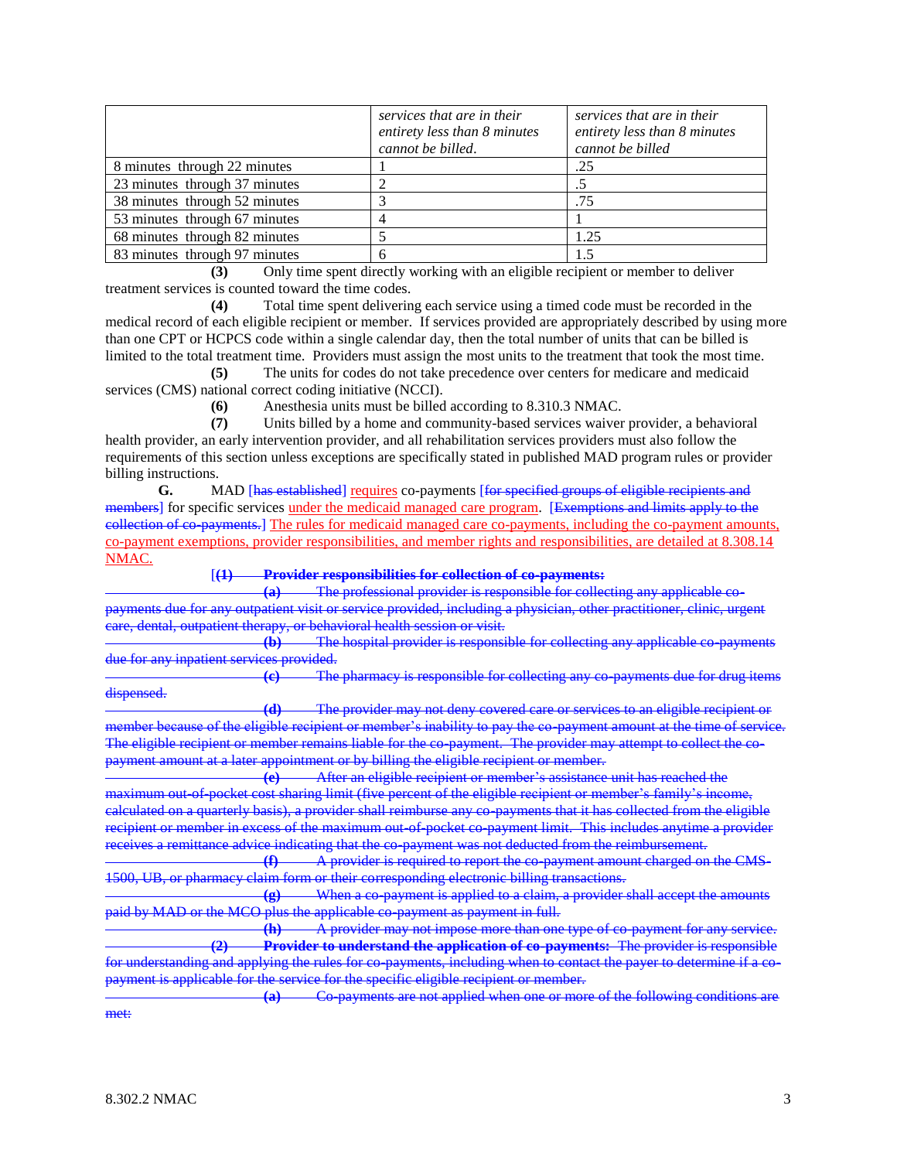|                               | services that are in their<br>entirety less than 8 minutes<br>cannot be billed. | services that are in their<br>entirety less than 8 minutes<br>cannot be billed |
|-------------------------------|---------------------------------------------------------------------------------|--------------------------------------------------------------------------------|
| 8 minutes through 22 minutes  |                                                                                 | .25                                                                            |
| 23 minutes through 37 minutes |                                                                                 |                                                                                |
| 38 minutes through 52 minutes |                                                                                 | .75                                                                            |
| 53 minutes through 67 minutes |                                                                                 |                                                                                |
| 68 minutes through 82 minutes |                                                                                 | 1.25                                                                           |
| 83 minutes through 97 minutes |                                                                                 | 1.5                                                                            |

**(3)** Only time spent directly working with an eligible recipient or member to deliver treatment services is counted toward the time codes.

**(4)** Total time spent delivering each service using a timed code must be recorded in the medical record of each eligible recipient or member. If services provided are appropriately described by using more than one CPT or HCPCS code within a single calendar day, then the total number of units that can be billed is limited to the total treatment time. Providers must assign the most units to the treatment that took the most time.

**(5)** The units for codes do not take precedence over centers for medicare and medicaid services (CMS) national correct coding initiative (NCCI).

**(6)** Anesthesia units must be billed according to 8.310.3 NMAC.

**(7)** Units billed by a home and community-based services waiver provider, a behavioral health provider, an early intervention provider, and all rehabilitation services providers must also follow the requirements of this section unless exceptions are specifically stated in published MAD program rules or provider billing instructions.

**G.** MAD [has established] requires co-payments [for specified groups of eligible recipients and members] for specific services under the medicaid managed care program. [Exemptions and limits apply to the collection of co-payments.] The rules for medicaid managed care co-payments, including the co-payment amounts, co-payment exemptions, provider responsibilities, and member rights and responsibilities, are detailed at 8.308.14 NMAC.

[**(1) Provider responsibilities for collection of co-payments:**

The professional provider is responsible for collecting any applicable payments due for any outpatient visit or service provided, including a physician, other practitioner, clinic, urgent care, dental, outpatient therapy, or behavioral health session or visit.

**(b)** The hospital provider is responsible for collecting any applicable co-payments due for any inpatient services provided.

**(c)** The pharmacy is responsible for collecting any co-payments due for drug items dispensed.

**(d)** The provider may not deny covered care or services to an eligible recipient or member because of the eligible recipient or member's inability to pay the co-payment amount at the time of service. The eligible recipient or member remains liable for the co-payment. The provider may attempt to collect the copayment amount at a later appointment or by billing the eligible recipient or member.

**(e)** After an eligible recipient or member's assistance unit has reached the maximum out-of-pocket cost sharing limit (five percent of the eligible recipient or member's family's income, calculated on a quarterly basis), a provider shall reimburse any co-payments that it has collected from the eligible recipient or member in excess of the maximum out-of-pocket co-payment limit. This includes anytime a provider receives a remittance advice indicating that the co-payment was not deducted from the reimbursement.

**(f)** A provider is required to report the co-payment amount charged on the CMS-1500, UB, or pharmacy claim form or their corresponding electronic billing transactions.

**(g)** When a co-payment is applied to a claim, a provider shall accept the amounts paid by MAD or the MCO plus the applicable co-payment as payment in full.

**(h)** A provider may not impose more than one type of co-payment for any **(2) Provider to understand the application of co-payments:** The provider is responsible for understanding and applying the rules for co-payments, including when to contact the payer to determine if a co-<br>payment is applicable for the service for the specific eligible recipient or member. service for the specific eligible recipient or member.

**(a)** Co-payments are not applied when one or more of the following conditions are met: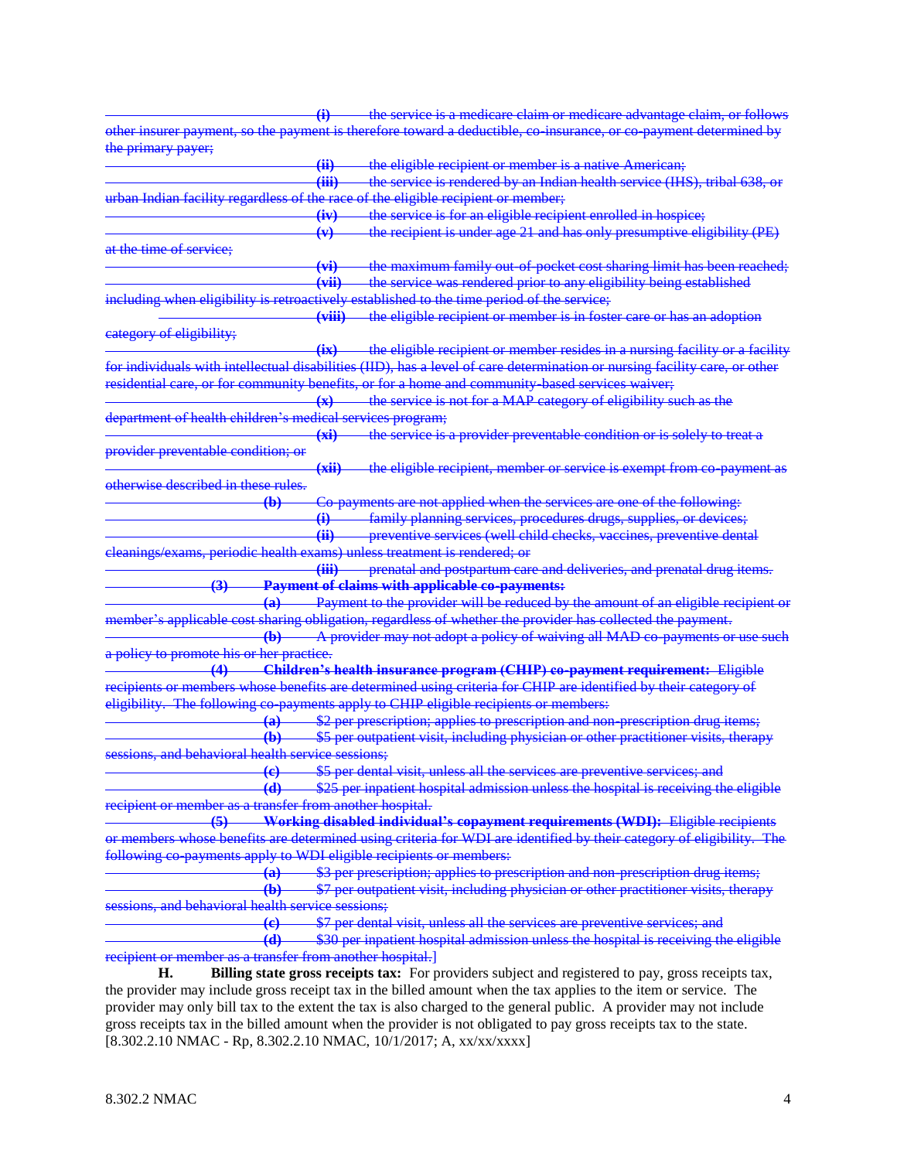**(i)** the service is a medicare claim or medicare advantage claim, or follows other insurer payment, so the payment is therefore toward a deductible, co-insurance, or co-payment determined by the primary payer; **(ii)** the eligible recipient or member is a native American; **(iii)** the service is rendered by an Indian health service (IHS), tribal 638, or urban Indian facility regardless of the race of the eligible recipient or member; **(iv)** the service is for an eligible recipient enrolled in hospice; **(v)** the recipient is under age 21 and has only presumptive eligibility (PE) at the time of service; **(vi)** the maximum family out-of-pocket cost sharing limit has been reached; **(vii)** the service was rendered prior to any eligibility being established including when eligibility is retroactively established to the time period of the service; **(viii)** the eligible recipient or member is in foster care or has an adoption category of eligibility; **(ix)** the eligible recipient or member resides in a nursing facility or a facility for individuals with intellectual disabilities (IID), has a level of care determination or nursing facility care, or other residential care, or for community benefits, or for a home and community-based services waiver; **(x)** the service is not for a MAP category of eligibility such as the department of health children's medical services program; **(xi)** the service is a provider preventable condition or is solely to treat a provider preventable condition; or **(xii)** the eligible recipient, member or service is exempt from co-payment as otherwise described in these rules. **(b)** Co-payments are not applied when the services are one of the following: **(i)** family planning services, procedures drugs, supplies, or devices; **(ii)** preventive services (well child checks, vaccines, preventive dental cleanings/exams, periodic health exams) unless treatment is rendered; or **(iii)** prenatal and postpartum care and deliveries, and prenatal drug items. **(3) Payment of claims with applicable co-payments: (a)** Payment to the provider will be reduced by the amount of an eligible recipient or member's applicable cost sharing obligation, regardless of whether the provider has collected the payment. **(b)** A provider may not adopt a policy of waiving all MAD co-payments or use such a policy to prom **(4) Children's health insurance program (CHIP) co-payment requirement:** Eligible recipients or members whose benefits are determined using criteria for CHIP are identified by their category of<br>eligibility. The following co-payments apply to CHIP eligible recipients or members: co-payments apply to CHIP eligible recipients or member **(a)** \$2 per prescription; applies to prescription and non-prescription drug items; **(b)** \$5 per outpatient visit, including physician or other practitioner visits, therapy sessions, and behavioral health **(c)** \$5 per dental visit, unless all the services are preventive services; and **(d)** \$25 per inpatient hospital admission unless the hospital is receiving the eligible recipient or member as a transfer from another hospital. **(5) Working disabled individual's copayment requirements (WDI):** Eligible recipients or members whose benefits are determined using criteria for WDI are identified by their category of eligibility. The following co-payments apply to WDI eligible recipients or members: **(a)** \$3 per prescription; applies to prescription and non-prescription drug items; **(b)** \$7 per outpatient visit, including physician or other practitioner visits, therapy sessions, and behavioral health **(c)** \$7 per dental visit, unless all the services are preventive services; and **(d)** \$30 per inpatient hospital admission unless the hospital is receiving the eligible recipient or member as a transfer from another hospital.] **H. Billing state gross receipts tax:** For providers subject and registered to pay, gross receipts tax, the provider may include gross receipt tax in the billed amount when the tax applies to the item or service. The provider may only bill tax to the extent the tax is also charged to the general public. A provider may not include gross receipts tax in the billed amount when the provider is not obligated to pay gross receipts tax to the state.

[8.302.2.10 NMAC - Rp, 8.302.2.10 NMAC, 10/1/2017; A, xx/xx/xxxx]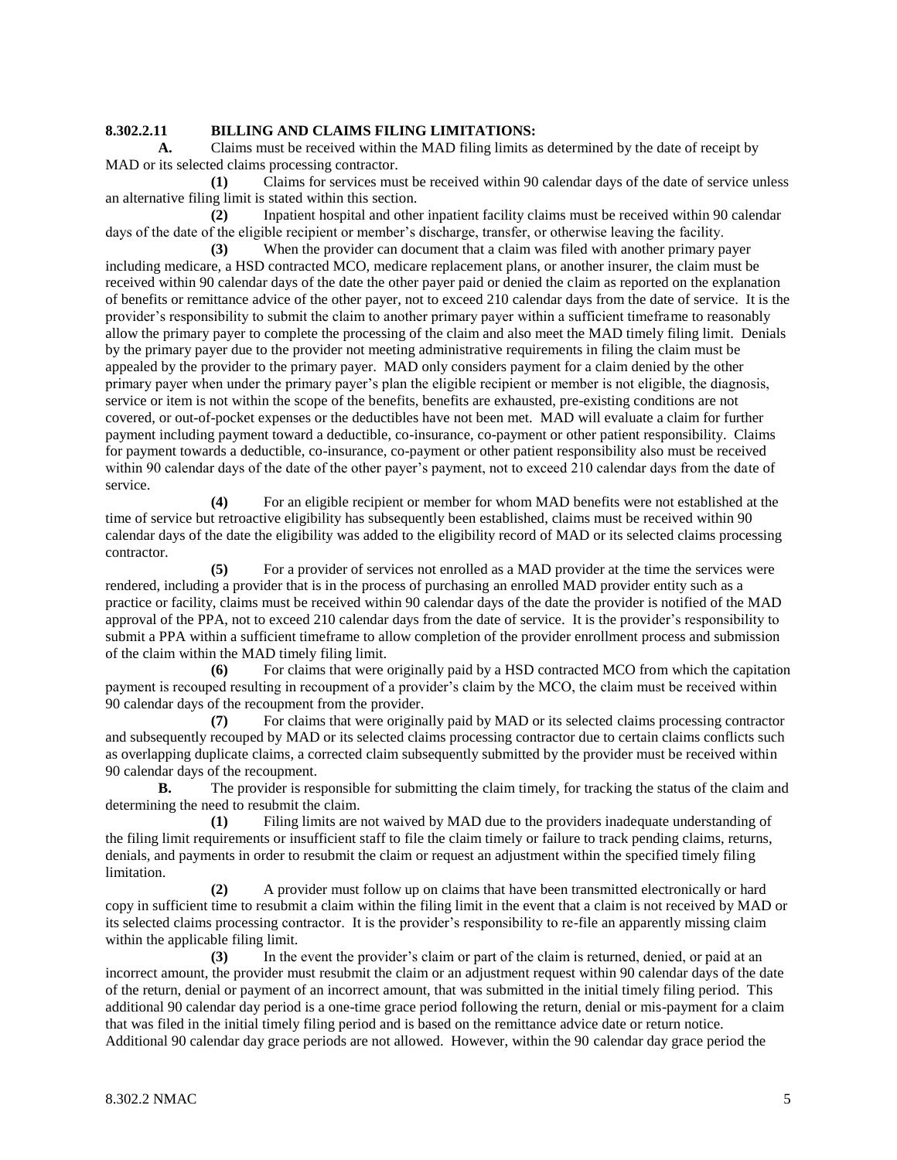## **8.302.2.11 BILLING AND CLAIMS FILING LIMITATIONS:**

**A.** Claims must be received within the MAD filing limits as determined by the date of receipt by MAD or its selected claims processing contractor.

**(1)** Claims for services must be received within 90 calendar days of the date of service unless an alternative filing limit is stated within this section.

**(2)** Inpatient hospital and other inpatient facility claims must be received within 90 calendar days of the date of the eligible recipient or member's discharge, transfer, or otherwise leaving the facility.

**(3)** When the provider can document that a claim was filed with another primary payer including medicare, a HSD contracted MCO, medicare replacement plans, or another insurer, the claim must be received within 90 calendar days of the date the other payer paid or denied the claim as reported on the explanation of benefits or remittance advice of the other payer, not to exceed 210 calendar days from the date of service. It is the provider's responsibility to submit the claim to another primary payer within a sufficient timeframe to reasonably allow the primary payer to complete the processing of the claim and also meet the MAD timely filing limit. Denials by the primary payer due to the provider not meeting administrative requirements in filing the claim must be appealed by the provider to the primary payer. MAD only considers payment for a claim denied by the other primary payer when under the primary payer's plan the eligible recipient or member is not eligible, the diagnosis, service or item is not within the scope of the benefits, benefits are exhausted, pre-existing conditions are not covered, or out-of-pocket expenses or the deductibles have not been met. MAD will evaluate a claim for further payment including payment toward a deductible, co-insurance, co-payment or other patient responsibility. Claims for payment towards a deductible, co-insurance, co-payment or other patient responsibility also must be received within 90 calendar days of the date of the other payer's payment, not to exceed 210 calendar days from the date of service.

**(4)** For an eligible recipient or member for whom MAD benefits were not established at the time of service but retroactive eligibility has subsequently been established, claims must be received within 90 calendar days of the date the eligibility was added to the eligibility record of MAD or its selected claims processing contractor.

**(5)** For a provider of services not enrolled as a MAD provider at the time the services were rendered, including a provider that is in the process of purchasing an enrolled MAD provider entity such as a practice or facility, claims must be received within 90 calendar days of the date the provider is notified of the MAD approval of the PPA, not to exceed 210 calendar days from the date of service. It is the provider's responsibility to submit a PPA within a sufficient timeframe to allow completion of the provider enrollment process and submission of the claim within the MAD timely filing limit.

**(6)** For claims that were originally paid by a HSD contracted MCO from which the capitation payment is recouped resulting in recoupment of a provider's claim by the MCO, the claim must be received within 90 calendar days of the recoupment from the provider.

**(7)** For claims that were originally paid by MAD or its selected claims processing contractor and subsequently recouped by MAD or its selected claims processing contractor due to certain claims conflicts such as overlapping duplicate claims, a corrected claim subsequently submitted by the provider must be received within 90 calendar days of the recoupment.

**B.** The provider is responsible for submitting the claim timely, for tracking the status of the claim and determining the need to resubmit the claim.

**(1)** Filing limits are not waived by MAD due to the providers inadequate understanding of the filing limit requirements or insufficient staff to file the claim timely or failure to track pending claims, returns, denials, and payments in order to resubmit the claim or request an adjustment within the specified timely filing limitation.

**(2)** A provider must follow up on claims that have been transmitted electronically or hard copy in sufficient time to resubmit a claim within the filing limit in the event that a claim is not received by MAD or its selected claims processing contractor. It is the provider's responsibility to re-file an apparently missing claim within the applicable filing limit.

**(3)** In the event the provider's claim or part of the claim is returned, denied, or paid at an incorrect amount, the provider must resubmit the claim or an adjustment request within 90 calendar days of the date of the return, denial or payment of an incorrect amount, that was submitted in the initial timely filing period. This additional 90 calendar day period is a one-time grace period following the return, denial or mis-payment for a claim that was filed in the initial timely filing period and is based on the remittance advice date or return notice. Additional 90 calendar day grace periods are not allowed. However, within the 90 calendar day grace period the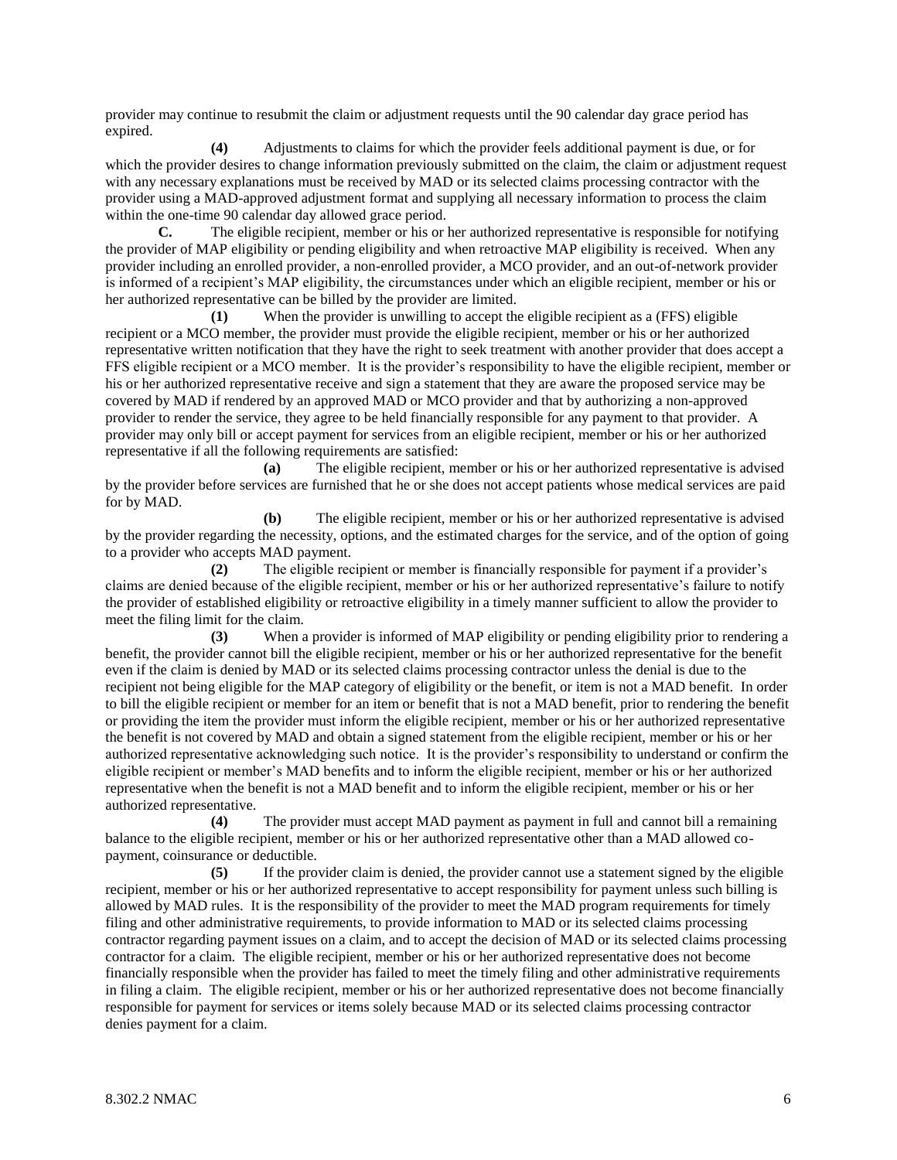provider may continue to resubmit the claim or adjustment requests until the 90 calendar day grace period has expired.

**(4)** Adjustments to claims for which the provider feels additional payment is due, or for which the provider desires to change information previously submitted on the claim, the claim or adjustment request with any necessary explanations must be received by MAD or its selected claims processing contractor with the provider using a MAD-approved adjustment format and supplying all necessary information to process the claim within the one-time 90 calendar day allowed grace period.

**C.** The eligible recipient, member or his or her authorized representative is responsible for notifying the provider of MAP eligibility or pending eligibility and when retroactive MAP eligibility is received. When any provider including an enrolled provider, a non-enrolled provider, a MCO provider, and an out-of-network provider is informed of a recipient's MAP eligibility, the circumstances under which an eligible recipient, member or his or her authorized representative can be billed by the provider are limited.

**(1)** When the provider is unwilling to accept the eligible recipient as a (FFS) eligible recipient or a MCO member, the provider must provide the eligible recipient, member or his or her authorized representative written notification that they have the right to seek treatment with another provider that does accept a FFS eligible recipient or a MCO member. It is the provider's responsibility to have the eligible recipient, member or his or her authorized representative receive and sign a statement that they are aware the proposed service may be covered by MAD if rendered by an approved MAD or MCO provider and that by authorizing a non-approved provider to render the service, they agree to be held financially responsible for any payment to that provider. A provider may only bill or accept payment for services from an eligible recipient, member or his or her authorized representative if all the following requirements are satisfied:

**(a)** The eligible recipient, member or his or her authorized representative is advised by the provider before services are furnished that he or she does not accept patients whose medical services are paid for by MAD.

**(b)** The eligible recipient, member or his or her authorized representative is advised by the provider regarding the necessity, options, and the estimated charges for the service, and of the option of going to a provider who accepts MAD payment.

**(2)** The eligible recipient or member is financially responsible for payment if a provider's claims are denied because of the eligible recipient, member or his or her authorized representative's failure to notify the provider of established eligibility or retroactive eligibility in a timely manner sufficient to allow the provider to meet the filing limit for the claim.

**(3)** When a provider is informed of MAP eligibility or pending eligibility prior to rendering a benefit, the provider cannot bill the eligible recipient, member or his or her authorized representative for the benefit even if the claim is denied by MAD or its selected claims processing contractor unless the denial is due to the recipient not being eligible for the MAP category of eligibility or the benefit, or item is not a MAD benefit. In order to bill the eligible recipient or member for an item or benefit that is not a MAD benefit, prior to rendering the benefit or providing the item the provider must inform the eligible recipient, member or his or her authorized representative the benefit is not covered by MAD and obtain a signed statement from the eligible recipient, member or his or her authorized representative acknowledging such notice. It is the provider's responsibility to understand or confirm the eligible recipient or member's MAD benefits and to inform the eligible recipient, member or his or her authorized representative when the benefit is not a MAD benefit and to inform the eligible recipient, member or his or her authorized representative.

**(4)** The provider must accept MAD payment as payment in full and cannot bill a remaining balance to the eligible recipient, member or his or her authorized representative other than a MAD allowed copayment, coinsurance or deductible.

**(5)** If the provider claim is denied, the provider cannot use a statement signed by the eligible recipient, member or his or her authorized representative to accept responsibility for payment unless such billing is allowed by MAD rules. It is the responsibility of the provider to meet the MAD program requirements for timely filing and other administrative requirements, to provide information to MAD or its selected claims processing contractor regarding payment issues on a claim, and to accept the decision of MAD or its selected claims processing contractor for a claim. The eligible recipient, member or his or her authorized representative does not become financially responsible when the provider has failed to meet the timely filing and other administrative requirements in filing a claim. The eligible recipient, member or his or her authorized representative does not become financially responsible for payment for services or items solely because MAD or its selected claims processing contractor denies payment for a claim.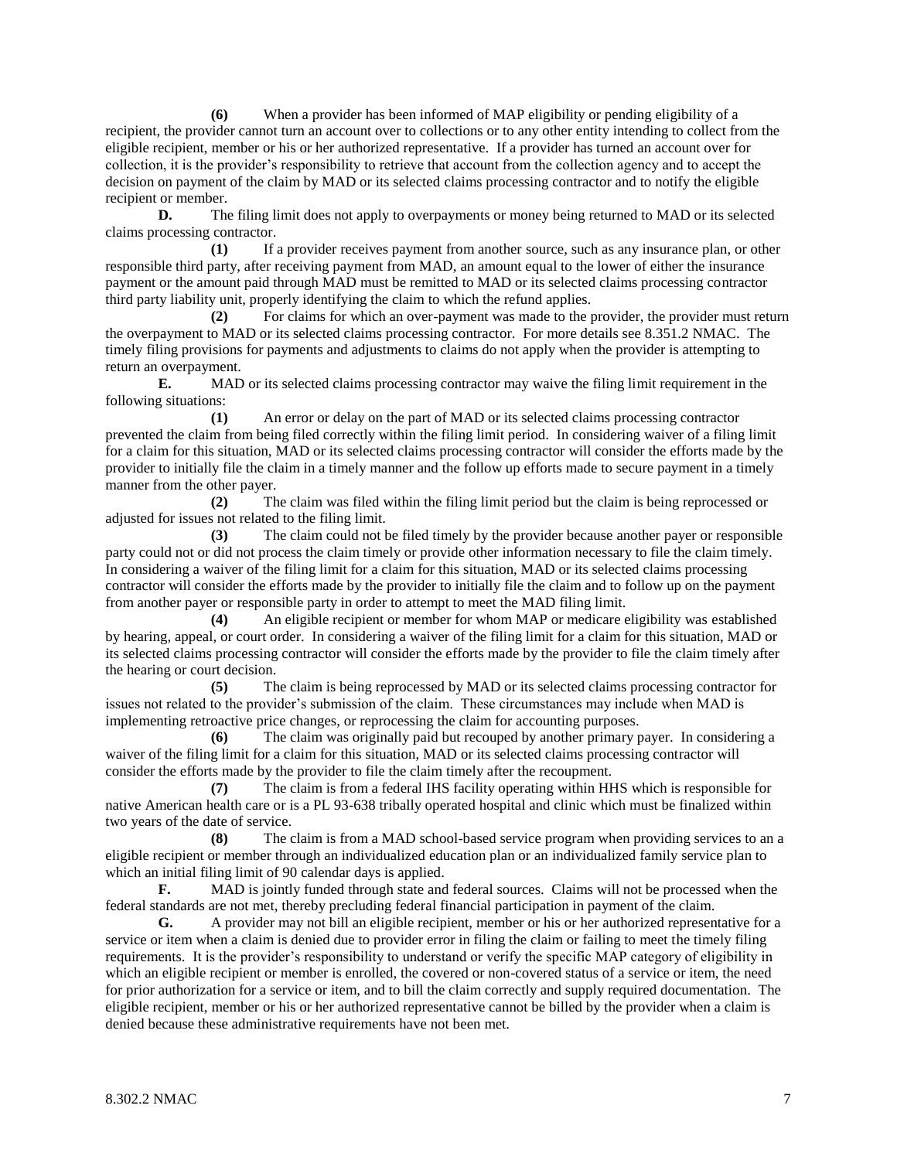**(6)** When a provider has been informed of MAP eligibility or pending eligibility of a recipient, the provider cannot turn an account over to collections or to any other entity intending to collect from the eligible recipient, member or his or her authorized representative. If a provider has turned an account over for collection, it is the provider's responsibility to retrieve that account from the collection agency and to accept the decision on payment of the claim by MAD or its selected claims processing contractor and to notify the eligible recipient or member.

**D.** The filing limit does not apply to overpayments or money being returned to MAD or its selected claims processing contractor.

**(1)** If a provider receives payment from another source, such as any insurance plan, or other responsible third party, after receiving payment from MAD, an amount equal to the lower of either the insurance payment or the amount paid through MAD must be remitted to MAD or its selected claims processing contractor third party liability unit, properly identifying the claim to which the refund applies.

**(2)** For claims for which an over-payment was made to the provider, the provider must return the overpayment to MAD or its selected claims processing contractor. For more details see 8.351.2 NMAC. The timely filing provisions for payments and adjustments to claims do not apply when the provider is attempting to return an overpayment.

**E.** MAD or its selected claims processing contractor may waive the filing limit requirement in the following situations:

**(1)** An error or delay on the part of MAD or its selected claims processing contractor prevented the claim from being filed correctly within the filing limit period. In considering waiver of a filing limit for a claim for this situation, MAD or its selected claims processing contractor will consider the efforts made by the provider to initially file the claim in a timely manner and the follow up efforts made to secure payment in a timely manner from the other payer.

**(2)** The claim was filed within the filing limit period but the claim is being reprocessed or adjusted for issues not related to the filing limit.

**(3)** The claim could not be filed timely by the provider because another payer or responsible party could not or did not process the claim timely or provide other information necessary to file the claim timely. In considering a waiver of the filing limit for a claim for this situation, MAD or its selected claims processing contractor will consider the efforts made by the provider to initially file the claim and to follow up on the payment from another payer or responsible party in order to attempt to meet the MAD filing limit.

**(4)** An eligible recipient or member for whom MAP or medicare eligibility was established by hearing, appeal, or court order. In considering a waiver of the filing limit for a claim for this situation, MAD or its selected claims processing contractor will consider the efforts made by the provider to file the claim timely after the hearing or court decision.

**(5)** The claim is being reprocessed by MAD or its selected claims processing contractor for issues not related to the provider's submission of the claim. These circumstances may include when MAD is implementing retroactive price changes, or reprocessing the claim for accounting purposes.

**(6)** The claim was originally paid but recouped by another primary payer. In considering a waiver of the filing limit for a claim for this situation, MAD or its selected claims processing contractor will consider the efforts made by the provider to file the claim timely after the recoupment.

**(7)** The claim is from a federal IHS facility operating within HHS which is responsible for native American health care or is a PL 93-638 tribally operated hospital and clinic which must be finalized within two years of the date of service.

**(8)** The claim is from a MAD school-based service program when providing services to an a eligible recipient or member through an individualized education plan or an individualized family service plan to which an initial filing limit of 90 calendar days is applied.

**F.** MAD is jointly funded through state and federal sources. Claims will not be processed when the federal standards are not met, thereby precluding federal financial participation in payment of the claim.

**G.** A provider may not bill an eligible recipient, member or his or her authorized representative for a service or item when a claim is denied due to provider error in filing the claim or failing to meet the timely filing requirements. It is the provider's responsibility to understand or verify the specific MAP category of eligibility in which an eligible recipient or member is enrolled, the covered or non-covered status of a service or item, the need for prior authorization for a service or item, and to bill the claim correctly and supply required documentation. The eligible recipient, member or his or her authorized representative cannot be billed by the provider when a claim is denied because these administrative requirements have not been met.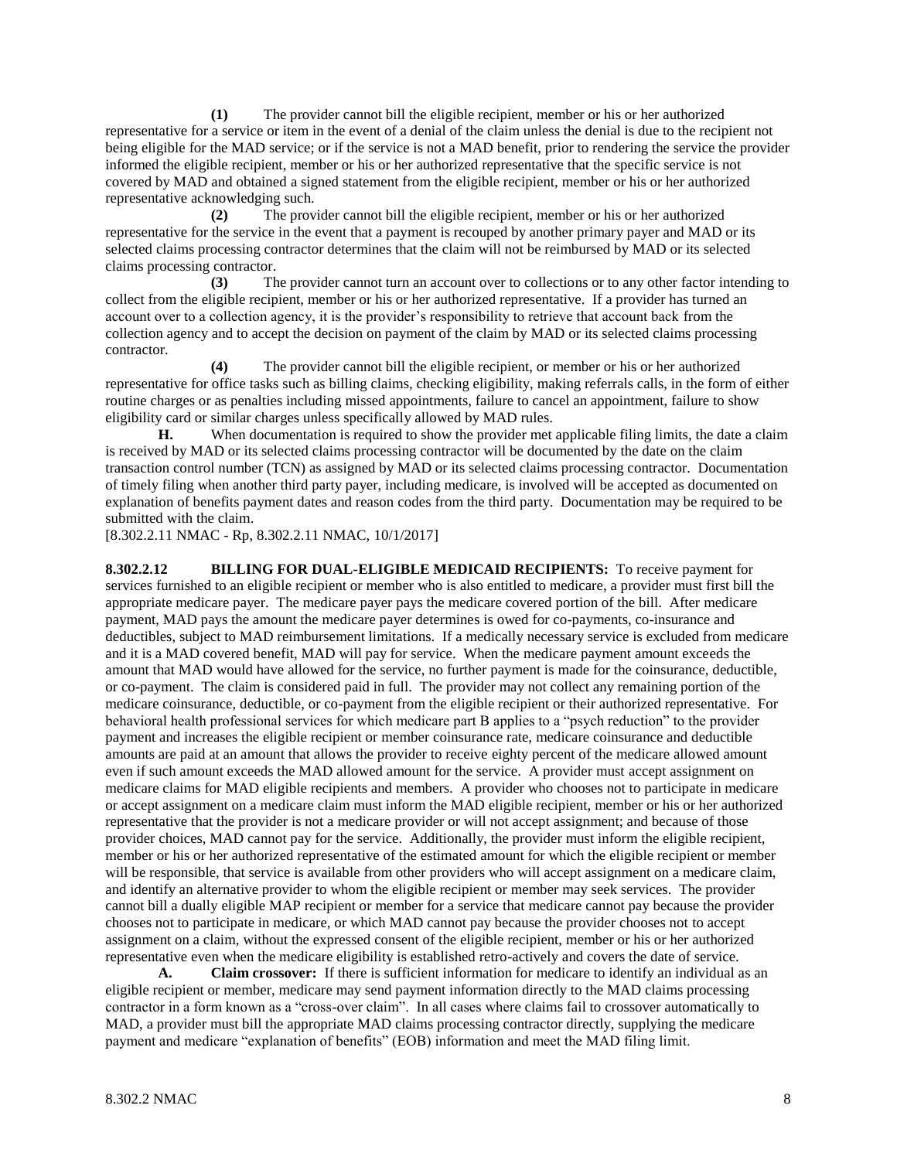**(1)** The provider cannot bill the eligible recipient, member or his or her authorized representative for a service or item in the event of a denial of the claim unless the denial is due to the recipient not being eligible for the MAD service; or if the service is not a MAD benefit, prior to rendering the service the provider informed the eligible recipient, member or his or her authorized representative that the specific service is not covered by MAD and obtained a signed statement from the eligible recipient, member or his or her authorized representative acknowledging such.

**(2)** The provider cannot bill the eligible recipient, member or his or her authorized representative for the service in the event that a payment is recouped by another primary payer and MAD or its selected claims processing contractor determines that the claim will not be reimbursed by MAD or its selected claims processing contractor.

**(3)** The provider cannot turn an account over to collections or to any other factor intending to collect from the eligible recipient, member or his or her authorized representative. If a provider has turned an account over to a collection agency, it is the provider's responsibility to retrieve that account back from the collection agency and to accept the decision on payment of the claim by MAD or its selected claims processing contractor.

**(4)** The provider cannot bill the eligible recipient, or member or his or her authorized representative for office tasks such as billing claims, checking eligibility, making referrals calls, in the form of either routine charges or as penalties including missed appointments, failure to cancel an appointment, failure to show eligibility card or similar charges unless specifically allowed by MAD rules.

**H.** When documentation is required to show the provider met applicable filing limits, the date a claim is received by MAD or its selected claims processing contractor will be documented by the date on the claim transaction control number (TCN) as assigned by MAD or its selected claims processing contractor. Documentation of timely filing when another third party payer, including medicare, is involved will be accepted as documented on explanation of benefits payment dates and reason codes from the third party. Documentation may be required to be submitted with the claim.

[8.302.2.11 NMAC - Rp, 8.302.2.11 NMAC, 10/1/2017]

**8.302.2.12 BILLING FOR DUAL-ELIGIBLE MEDICAID RECIPIENTS:** To receive payment for services furnished to an eligible recipient or member who is also entitled to medicare, a provider must first bill the appropriate medicare payer. The medicare payer pays the medicare covered portion of the bill. After medicare payment, MAD pays the amount the medicare payer determines is owed for co-payments, co-insurance and deductibles, subject to MAD reimbursement limitations. If a medically necessary service is excluded from medicare and it is a MAD covered benefit, MAD will pay for service. When the medicare payment amount exceeds the amount that MAD would have allowed for the service, no further payment is made for the coinsurance, deductible, or co-payment. The claim is considered paid in full. The provider may not collect any remaining portion of the medicare coinsurance, deductible, or co-payment from the eligible recipient or their authorized representative. For behavioral health professional services for which medicare part B applies to a "psych reduction" to the provider payment and increases the eligible recipient or member coinsurance rate, medicare coinsurance and deductible amounts are paid at an amount that allows the provider to receive eighty percent of the medicare allowed amount even if such amount exceeds the MAD allowed amount for the service. A provider must accept assignment on medicare claims for MAD eligible recipients and members. A provider who chooses not to participate in medicare or accept assignment on a medicare claim must inform the MAD eligible recipient, member or his or her authorized representative that the provider is not a medicare provider or will not accept assignment; and because of those provider choices, MAD cannot pay for the service. Additionally, the provider must inform the eligible recipient, member or his or her authorized representative of the estimated amount for which the eligible recipient or member will be responsible, that service is available from other providers who will accept assignment on a medicare claim, and identify an alternative provider to whom the eligible recipient or member may seek services. The provider cannot bill a dually eligible MAP recipient or member for a service that medicare cannot pay because the provider chooses not to participate in medicare, or which MAD cannot pay because the provider chooses not to accept assignment on a claim, without the expressed consent of the eligible recipient, member or his or her authorized representative even when the medicare eligibility is established retro-actively and covers the date of service.

**A. Claim crossover:** If there is sufficient information for medicare to identify an individual as an eligible recipient or member, medicare may send payment information directly to the MAD claims processing contractor in a form known as a "cross-over claim". In all cases where claims fail to crossover automatically to MAD, a provider must bill the appropriate MAD claims processing contractor directly, supplying the medicare payment and medicare "explanation of benefits" (EOB) information and meet the MAD filing limit.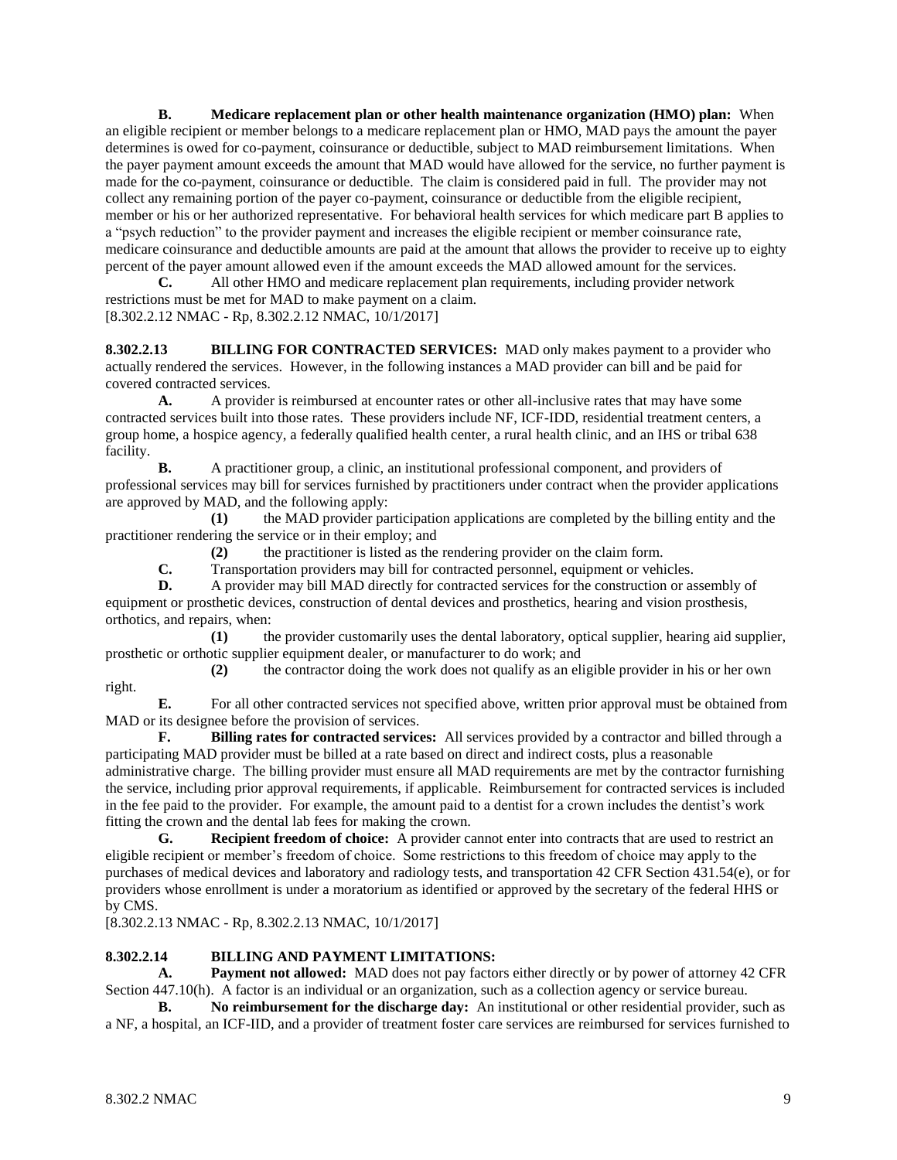**B. Medicare replacement plan or other health maintenance organization (HMO) plan:** When an eligible recipient or member belongs to a medicare replacement plan or HMO, MAD pays the amount the payer determines is owed for co-payment, coinsurance or deductible, subject to MAD reimbursement limitations. When the payer payment amount exceeds the amount that MAD would have allowed for the service, no further payment is made for the co-payment, coinsurance or deductible. The claim is considered paid in full. The provider may not collect any remaining portion of the payer co-payment, coinsurance or deductible from the eligible recipient, member or his or her authorized representative. For behavioral health services for which medicare part B applies to a "psych reduction" to the provider payment and increases the eligible recipient or member coinsurance rate, medicare coinsurance and deductible amounts are paid at the amount that allows the provider to receive up to eighty percent of the payer amount allowed even if the amount exceeds the MAD allowed amount for the services.

**C.** All other HMO and medicare replacement plan requirements, including provider network restrictions must be met for MAD to make payment on a claim. [8.302.2.12 NMAC - Rp, 8.302.2.12 NMAC, 10/1/2017]

**8.302.2.13 BILLING FOR CONTRACTED SERVICES:** MAD only makes payment to a provider who actually rendered the services. However, in the following instances a MAD provider can bill and be paid for covered contracted services.

**A.** A provider is reimbursed at encounter rates or other all-inclusive rates that may have some contracted services built into those rates. These providers include NF, ICF-IDD, residential treatment centers, a group home, a hospice agency, a federally qualified health center, a rural health clinic, and an IHS or tribal 638 facility.

**B.** A practitioner group, a clinic, an institutional professional component, and providers of professional services may bill for services furnished by practitioners under contract when the provider applications are approved by MAD, and the following apply:

**(1)** the MAD provider participation applications are completed by the billing entity and the practitioner rendering the service or in their employ; and

**(2)** the practitioner is listed as the rendering provider on the claim form.

**C.** Transportation providers may bill for contracted personnel, equipment or vehicles.

**D.** A provider may bill MAD directly for contracted services for the construction or assembly of equipment or prosthetic devices, construction of dental devices and prosthetics, hearing and vision prosthesis, orthotics, and repairs, when:

**(1)** the provider customarily uses the dental laboratory, optical supplier, hearing aid supplier, prosthetic or orthotic supplier equipment dealer, or manufacturer to do work; and

**(2)** the contractor doing the work does not qualify as an eligible provider in his or her own right.

**E.** For all other contracted services not specified above, written prior approval must be obtained from MAD or its designee before the provision of services.

**F. Billing rates for contracted services:** All services provided by a contractor and billed through a participating MAD provider must be billed at a rate based on direct and indirect costs, plus a reasonable administrative charge. The billing provider must ensure all MAD requirements are met by the contractor furnishing the service, including prior approval requirements, if applicable. Reimbursement for contracted services is included in the fee paid to the provider. For example, the amount paid to a dentist for a crown includes the dentist's work fitting the crown and the dental lab fees for making the crown.

**G. Recipient freedom of choice:** A provider cannot enter into contracts that are used to restrict an eligible recipient or member's freedom of choice. Some restrictions to this freedom of choice may apply to the purchases of medical devices and laboratory and radiology tests, and transportation 42 CFR Section 431.54(e), or for providers whose enrollment is under a moratorium as identified or approved by the secretary of the federal HHS or by CMS.

[8.302.2.13 NMAC - Rp, 8.302.2.13 NMAC, 10/1/2017]

## **8.302.2.14 BILLING AND PAYMENT LIMITATIONS:**

**A. Payment not allowed:** MAD does not pay factors either directly or by power of attorney 42 CFR Section 447.10(h). A factor is an individual or an organization, such as a collection agency or service bureau.

**B. No reimbursement for the discharge day:** An institutional or other residential provider, such as a NF, a hospital, an ICF-IID, and a provider of treatment foster care services are reimbursed for services furnished to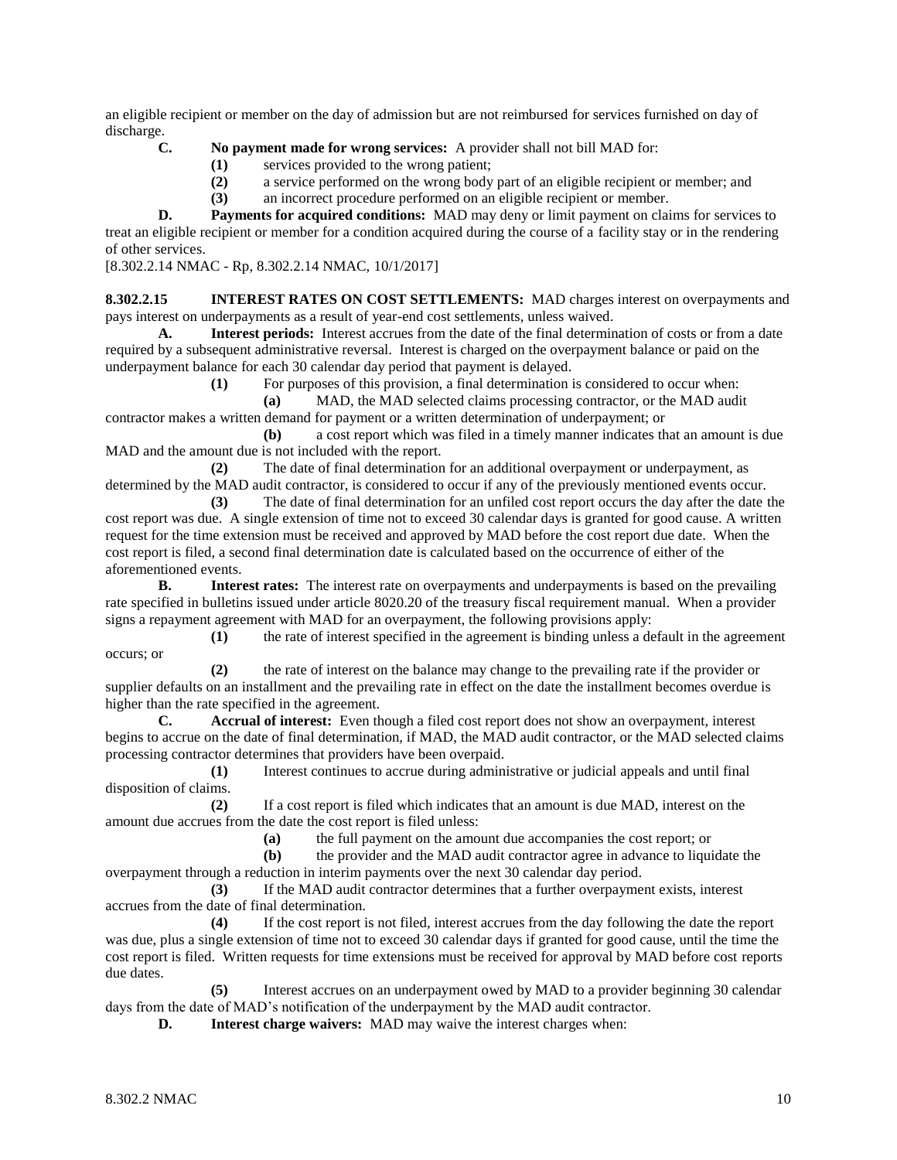an eligible recipient or member on the day of admission but are not reimbursed for services furnished on day of discharge.

- **C. No payment made for wrong services:** A provider shall not bill MAD for:
	- **(1)** services provided to the wrong patient;
	- **(2)** a service performed on the wrong body part of an eligible recipient or member; and
	- **(3)** an incorrect procedure performed on an eligible recipient or member.

**D. Payments for acquired conditions:** MAD may deny or limit payment on claims for services to treat an eligible recipient or member for a condition acquired during the course of a facility stay or in the rendering of other services.

[8.302.2.14 NMAC - Rp, 8.302.2.14 NMAC, 10/1/2017]

**8.302.2.15 INTEREST RATES ON COST SETTLEMENTS:** MAD charges interest on overpayments and pays interest on underpayments as a result of year-end cost settlements, unless waived.

**A. Interest periods:** Interest accrues from the date of the final determination of costs or from a date required by a subsequent administrative reversal. Interest is charged on the overpayment balance or paid on the underpayment balance for each 30 calendar day period that payment is delayed.

**(1)** For purposes of this provision, a final determination is considered to occur when:

**(a)** MAD, the MAD selected claims processing contractor, or the MAD audit contractor makes a written demand for payment or a written determination of underpayment; or

**(b)** a cost report which was filed in a timely manner indicates that an amount is due MAD and the amount due is not included with the report.

**(2)** The date of final determination for an additional overpayment or underpayment, as determined by the MAD audit contractor, is considered to occur if any of the previously mentioned events occur.

**(3)** The date of final determination for an unfiled cost report occurs the day after the date the cost report was due. A single extension of time not to exceed 30 calendar days is granted for good cause. A written request for the time extension must be received and approved by MAD before the cost report due date. When the cost report is filed, a second final determination date is calculated based on the occurrence of either of the aforementioned events.

**B. Interest rates:** The interest rate on overpayments and underpayments is based on the prevailing rate specified in bulletins issued under article 8020.20 of the treasury fiscal requirement manual. When a provider signs a repayment agreement with MAD for an overpayment, the following provisions apply:

**(1)** the rate of interest specified in the agreement is binding unless a default in the agreement occurs; or

**(2)** the rate of interest on the balance may change to the prevailing rate if the provider or supplier defaults on an installment and the prevailing rate in effect on the date the installment becomes overdue is higher than the rate specified in the agreement.

**C. Accrual of interest:** Even though a filed cost report does not show an overpayment, interest begins to accrue on the date of final determination, if MAD, the MAD audit contractor, or the MAD selected claims processing contractor determines that providers have been overpaid.

**(1)** Interest continues to accrue during administrative or judicial appeals and until final disposition of claims.

**(2)** If a cost report is filed which indicates that an amount is due MAD, interest on the amount due accrues from the date the cost report is filed unless:

**(a)** the full payment on the amount due accompanies the cost report; or

**(b)** the provider and the MAD audit contractor agree in advance to liquidate the overpayment through a reduction in interim payments over the next 30 calendar day period.

**(3)** If the MAD audit contractor determines that a further overpayment exists, interest accrues from the date of final determination.

**(4)** If the cost report is not filed, interest accrues from the day following the date the report was due, plus a single extension of time not to exceed 30 calendar days if granted for good cause, until the time the cost report is filed. Written requests for time extensions must be received for approval by MAD before cost reports due dates.

**(5)** Interest accrues on an underpayment owed by MAD to a provider beginning 30 calendar days from the date of MAD's notification of the underpayment by the MAD audit contractor.

**D. Interest charge waivers:** MAD may waive the interest charges when: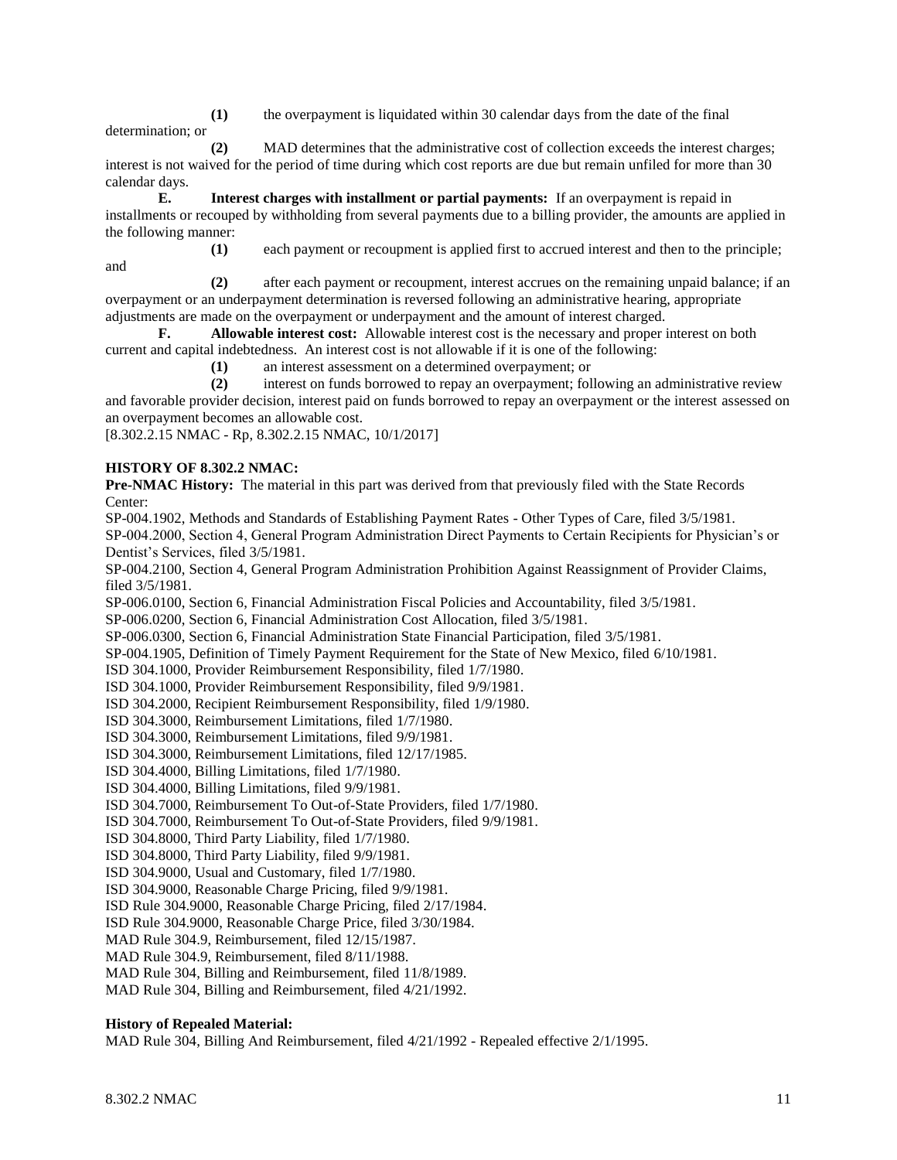**(1)** the overpayment is liquidated within 30 calendar days from the date of the final determination; or

**(2)** MAD determines that the administrative cost of collection exceeds the interest charges; interest is not waived for the period of time during which cost reports are due but remain unfiled for more than 30 calendar days.

**E. Interest charges with installment or partial payments:** If an overpayment is repaid in installments or recouped by withholding from several payments due to a billing provider, the amounts are applied in the following manner:

**(1)** each payment or recoupment is applied first to accrued interest and then to the principle; and

**(2)** after each payment or recoupment, interest accrues on the remaining unpaid balance; if an overpayment or an underpayment determination is reversed following an administrative hearing, appropriate adjustments are made on the overpayment or underpayment and the amount of interest charged.

**F. Allowable interest cost:** Allowable interest cost is the necessary and proper interest on both current and capital indebtedness. An interest cost is not allowable if it is one of the following:

**(1)** an interest assessment on a determined overpayment; or

**(2)** interest on funds borrowed to repay an overpayment; following an administrative review

and favorable provider decision, interest paid on funds borrowed to repay an overpayment or the interest assessed on an overpayment becomes an allowable cost.

[8.302.2.15 NMAC - Rp, 8.302.2.15 NMAC, 10/1/2017]

## **HISTORY OF 8.302.2 NMAC:**

**Pre-NMAC History:** The material in this part was derived from that previously filed with the State Records Center:

SP-004.1902, Methods and Standards of Establishing Payment Rates - Other Types of Care, filed 3/5/1981.

SP-004.2000, Section 4, General Program Administration Direct Payments to Certain Recipients for Physician's or Dentist's Services, filed 3/5/1981.

SP-004.2100, Section 4, General Program Administration Prohibition Against Reassignment of Provider Claims, filed 3/5/1981.

SP-006.0100, Section 6, Financial Administration Fiscal Policies and Accountability, filed 3/5/1981.

SP-006.0200, Section 6, Financial Administration Cost Allocation, filed 3/5/1981.

SP-006.0300, Section 6, Financial Administration State Financial Participation, filed 3/5/1981.

SP-004.1905, Definition of Timely Payment Requirement for the State of New Mexico, filed 6/10/1981.

ISD 304.1000, Provider Reimbursement Responsibility, filed 1/7/1980.

ISD 304.1000, Provider Reimbursement Responsibility, filed 9/9/1981.

ISD 304.2000, Recipient Reimbursement Responsibility, filed 1/9/1980.

ISD 304.3000, Reimbursement Limitations, filed 1/7/1980.

ISD 304.3000, Reimbursement Limitations, filed 9/9/1981.

ISD 304.3000, Reimbursement Limitations, filed 12/17/1985.

ISD 304.4000, Billing Limitations, filed 1/7/1980.

ISD 304.4000, Billing Limitations, filed 9/9/1981.

ISD 304.7000, Reimbursement To Out-of-State Providers, filed 1/7/1980.

ISD 304.7000, Reimbursement To Out-of-State Providers, filed 9/9/1981.

ISD 304.8000, Third Party Liability, filed 1/7/1980.

ISD 304.8000, Third Party Liability, filed 9/9/1981.

ISD 304.9000, Usual and Customary, filed 1/7/1980.

ISD 304.9000, Reasonable Charge Pricing, filed 9/9/1981.

ISD Rule 304.9000, Reasonable Charge Pricing, filed 2/17/1984.

ISD Rule 304.9000, Reasonable Charge Price, filed 3/30/1984.

MAD Rule 304.9, Reimbursement, filed 12/15/1987.

MAD Rule 304.9, Reimbursement, filed 8/11/1988.

MAD Rule 304, Billing and Reimbursement, filed 11/8/1989.

MAD Rule 304, Billing and Reimbursement, filed 4/21/1992.

## **History of Repealed Material:**

MAD Rule 304, Billing And Reimbursement, filed 4/21/1992 - Repealed effective 2/1/1995.